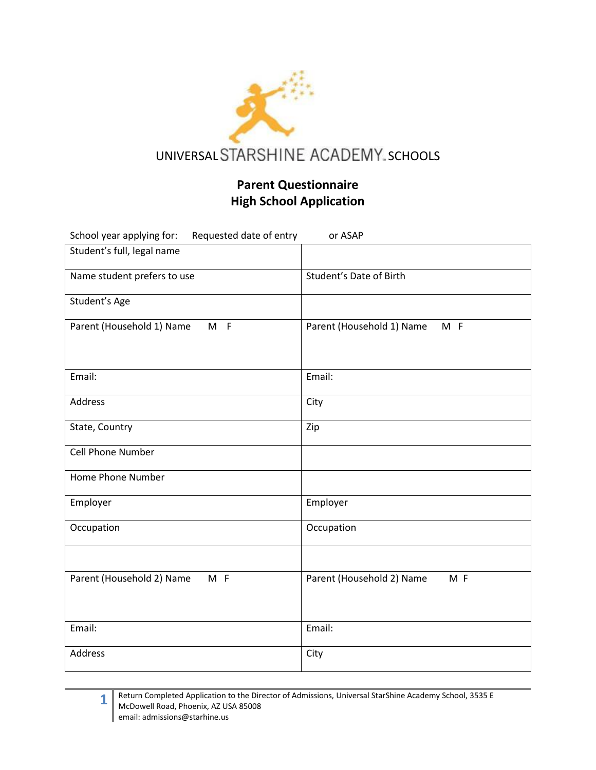

## **Parent Questionnaire High School Application**

| School year applying for:<br>Requested date of entry | or ASAP                            |
|------------------------------------------------------|------------------------------------|
| Student's full, legal name                           |                                    |
| Name student prefers to use                          | Student's Date of Birth            |
| Student's Age                                        |                                    |
| Parent (Household 1) Name<br>$M$ F                   | Parent (Household 1) Name<br>$M$ F |
| Email:                                               | Email:                             |
| Address                                              | City                               |
| State, Country                                       | Zip                                |
| <b>Cell Phone Number</b>                             |                                    |
| Home Phone Number                                    |                                    |
| Employer                                             | Employer                           |
| Occupation                                           | Occupation                         |
|                                                      |                                    |
| Parent (Household 2) Name<br>$M$ F                   | Parent (Household 2) Name<br>M F   |
| Email:                                               | Email:                             |
| Address                                              | City                               |

**1**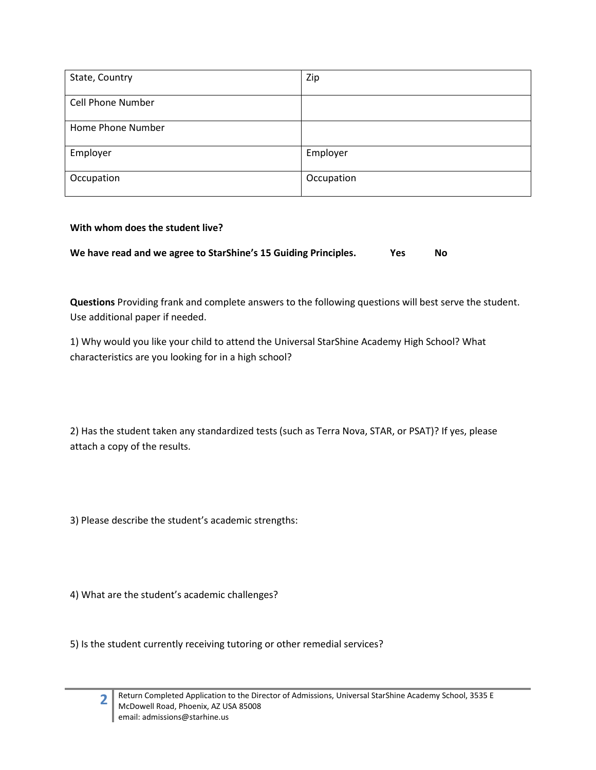| State, Country           | Zip        |
|--------------------------|------------|
| <b>Cell Phone Number</b> |            |
| Home Phone Number        |            |
| Employer                 | Employer   |
| Occupation               | Occupation |

## **With whom does the student live?**

| We have read and we agree to StarShine's 15 Guiding Principles. | <b>Yes</b> | No |
|-----------------------------------------------------------------|------------|----|
|-----------------------------------------------------------------|------------|----|

**Questions** Providing frank and complete answers to the following questions will best serve the student. Use additional paper if needed.

1) Why would you like your child to attend the Universal StarShine Academy High School? What characteristics are you looking for in a high school?

2) Has the student taken any standardized tests (such as Terra Nova, STAR, or PSAT)? If yes, please attach a copy of the results.

3) Please describe the student's academic strengths:

4) What are the student's academic challenges?

5) Is the student currently receiving tutoring or other remedial services?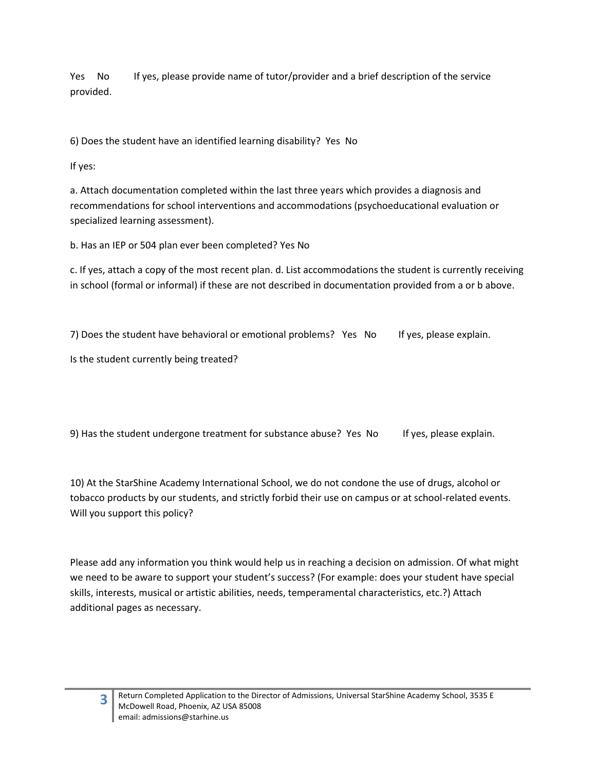Yes No If yes, please provide name of tutor/provider and a brief description of the service provided.

6) Does the student have an identified learning disability? Yes No

If yes:

a. Attach documentation completed within the last three years which provides a diagnosis and recommendations for school interventions and accommodations (psychoeducational evaluation or specialized learning assessment).

b. Has an IEP or 504 plan ever been completed? Yes No

c. If yes, attach a copy of the most recent plan. d. List accommodations the student is currently receiving in school (formal or informal) if these are not described in documentation provided from a or b above.

7) Does the student have behavioral or emotional problems? Yes No If yes, please explain.

Is the student currently being treated?

9) Has the student undergone treatment for substance abuse? Yes No If yes, please explain.

10) At the StarShine Academy International School, we do not condone the use of drugs, alcohol or tobacco products by our students, and strictly forbid their use on campus or at school-related events. Will you support this policy?

Please add any information you think would help us in reaching a decision on admission. Of what might we need to be aware to support your student's success? (For example: does your student have special skills, interests, musical or artistic abilities, needs, temperamental characteristics, etc.?) Attach additional pages as necessary.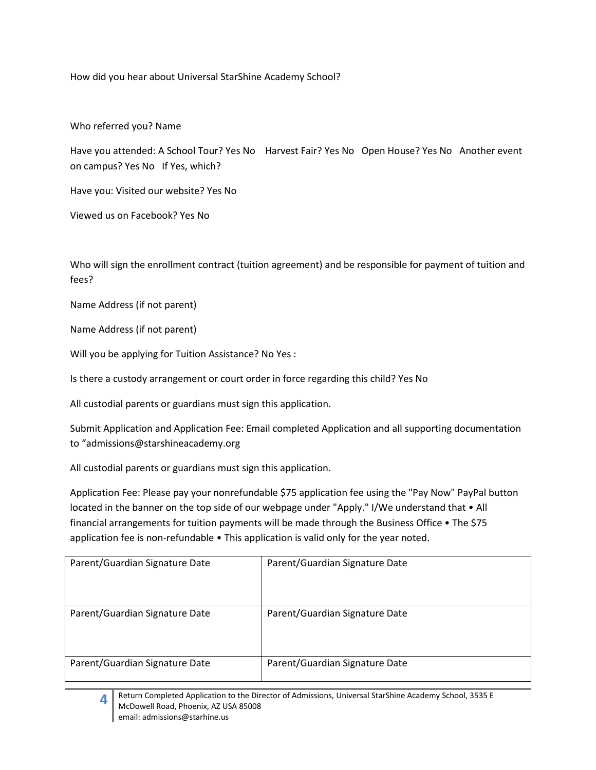How did you hear about Universal StarShine Academy School?

Who referred you? Name

Have you attended: A School Tour? Yes No Harvest Fair? Yes No Open House? Yes No Another event on campus? Yes No If Yes, which?

Have you: Visited our website? Yes No

Viewed us on Facebook? Yes No

Who will sign the enrollment contract (tuition agreement) and be responsible for payment of tuition and fees?

Name Address (if not parent)

Name Address (if not parent)

Will you be applying for Tuition Assistance? No Yes :

Is there a custody arrangement or court order in force regarding this child? Yes No

All custodial parents or guardians must sign this application.

Submit Application and Application Fee: Email completed Application and all supporting documentation to "admissions@starshineacademy.org

All custodial parents or guardians must sign this application.

Application Fee: Please pay your nonrefundable \$75 application fee using the "Pay Now" PayPal button located in the banner on the top side of our webpage under "Apply." I/We understand that • All financial arrangements for tuition payments will be made through the Business Office • The \$75 application fee is non-refundable • This application is valid only for the year noted.

| Parent/Guardian Signature Date | Parent/Guardian Signature Date |
|--------------------------------|--------------------------------|
| Parent/Guardian Signature Date | Parent/Guardian Signature Date |
| Parent/Guardian Signature Date | Parent/Guardian Signature Date |



Return Completed Application to the Director of Admissions, Universal StarShine Academy School, 3535 E McDowell Road, Phoenix, AZ USA 85008 email: admissions@starhine.us